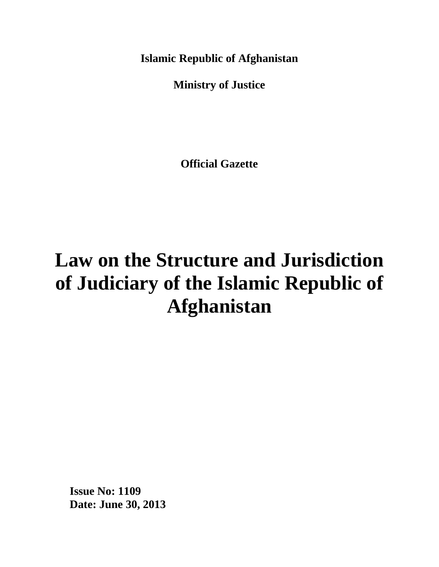**Islamic Republic of Afghanistan**

**Ministry of Justice**

**Official Gazette**

# **Law on the Structure and Jurisdiction of Judiciary of the Islamic Republic of Afghanistan**

**Issue No: 1109 Date: June 30, 2013**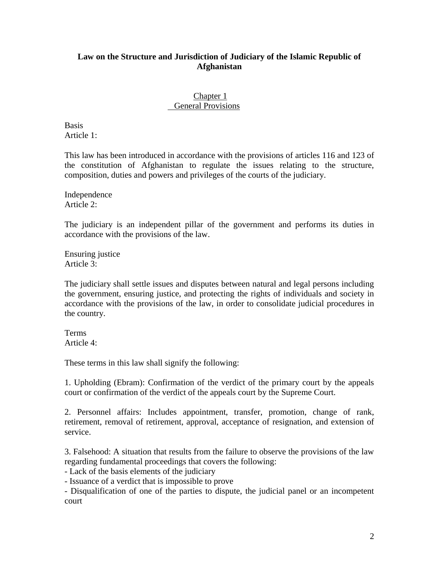## **Law on the Structure and Jurisdiction of Judiciary of the Islamic Republic of Afghanistan**

#### Chapter 1 General Provisions

**Basis** Article 1:

This law has been introduced in accordance with the provisions of articles 116 and 123 of the constitution of Afghanistan to regulate the issues relating to the structure, composition, duties and powers and privileges of the courts of the judiciary.

Independence Article 2:

The judiciary is an independent pillar of the government and performs its duties in accordance with the provisions of the law.

Ensuring justice Article 3:

The judiciary shall settle issues and disputes between natural and legal persons including the government, ensuring justice, and protecting the rights of individuals and society in accordance with the provisions of the law, in order to consolidate judicial procedures in the country.

Terms Article 4:

These terms in this law shall signify the following:

1. Upholding (Ebram): Confirmation of the verdict of the primary court by the appeals court or confirmation of the verdict of the appeals court by the Supreme Court.

2. Personnel affairs: Includes appointment, transfer, promotion, change of rank, retirement, removal of retirement, approval, acceptance of resignation, and extension of service.

3. Falsehood: A situation that results from the failure to observe the provisions of the law regarding fundamental proceedings that covers the following:

- Lack of the basis elements of the judiciary

- Issuance of a verdict that is impossible to prove

- Disqualification of one of the parties to dispute, the judicial panel or an incompetent court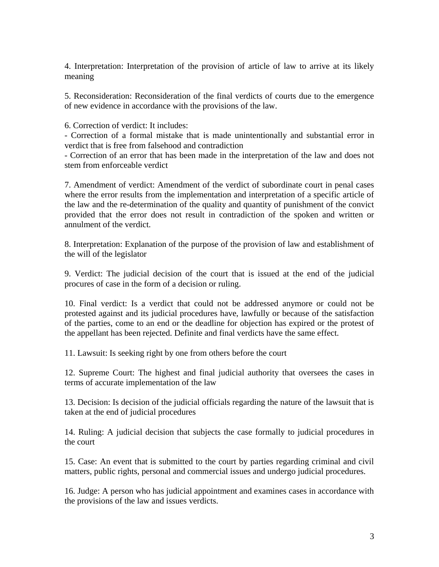4. Interpretation: Interpretation of the provision of article of law to arrive at its likely meaning

5. Reconsideration: Reconsideration of the final verdicts of courts due to the emergence of new evidence in accordance with the provisions of the law.

6. Correction of verdict: It includes:

- Correction of a formal mistake that is made unintentionally and substantial error in verdict that is free from falsehood and contradiction

- Correction of an error that has been made in the interpretation of the law and does not stem from enforceable verdict

7. Amendment of verdict: Amendment of the verdict of subordinate court in penal cases where the error results from the implementation and interpretation of a specific article of the law and the re-determination of the quality and quantity of punishment of the convict provided that the error does not result in contradiction of the spoken and written or annulment of the verdict.

8. Interpretation: Explanation of the purpose of the provision of law and establishment of the will of the legislator

9. Verdict: The judicial decision of the court that is issued at the end of the judicial procures of case in the form of a decision or ruling.

10. Final verdict: Is a verdict that could not be addressed anymore or could not be protested against and its judicial procedures have, lawfully or because of the satisfaction of the parties, come to an end or the deadline for objection has expired or the protest of the appellant has been rejected. Definite and final verdicts have the same effect.

11. Lawsuit: Is seeking right by one from others before the court

12. Supreme Court: The highest and final judicial authority that oversees the cases in terms of accurate implementation of the law

13. Decision: Is decision of the judicial officials regarding the nature of the lawsuit that is taken at the end of judicial procedures

14. Ruling: A judicial decision that subjects the case formally to judicial procedures in the court

15. Case: An event that is submitted to the court by parties regarding criminal and civil matters, public rights, personal and commercial issues and undergo judicial procedures.

16. Judge: A person who has judicial appointment and examines cases in accordance with the provisions of the law and issues verdicts.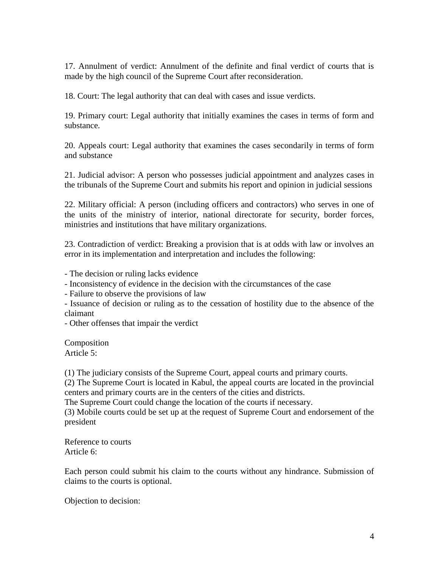17. Annulment of verdict: Annulment of the definite and final verdict of courts that is made by the high council of the Supreme Court after reconsideration.

18. Court: The legal authority that can deal with cases and issue verdicts.

19. Primary court: Legal authority that initially examines the cases in terms of form and substance.

20. Appeals court: Legal authority that examines the cases secondarily in terms of form and substance

21. Judicial advisor: A person who possesses judicial appointment and analyzes cases in the tribunals of the Supreme Court and submits his report and opinion in judicial sessions

22. Military official: A person (including officers and contractors) who serves in one of the units of the ministry of interior, national directorate for security, border forces, ministries and institutions that have military organizations.

23. Contradiction of verdict: Breaking a provision that is at odds with law or involves an error in its implementation and interpretation and includes the following:

- The decision or ruling lacks evidence

- Inconsistency of evidence in the decision with the circumstances of the case

- Failure to observe the provisions of law

- Issuance of decision or ruling as to the cessation of hostility due to the absence of the claimant

- Other offenses that impair the verdict

Composition Article 5:

(1) The judiciary consists of the Supreme Court, appeal courts and primary courts.

(2) The Supreme Court is located in Kabul, the appeal courts are located in the provincial centers and primary courts are in the centers of the cities and districts.

The Supreme Court could change the location of the courts if necessary.

(3) Mobile courts could be set up at the request of Supreme Court and endorsement of the president

Reference to courts Article 6:

Each person could submit his claim to the courts without any hindrance. Submission of claims to the courts is optional.

Objection to decision: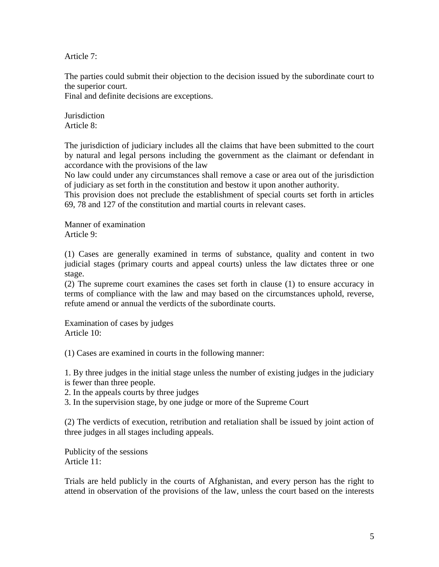Article 7:

The parties could submit their objection to the decision issued by the subordinate court to the superior court.

Final and definite decisions are exceptions.

**Jurisdiction** Article 8:

The jurisdiction of judiciary includes all the claims that have been submitted to the court by natural and legal persons including the government as the claimant or defendant in accordance with the provisions of the law

No law could under any circumstances shall remove a case or area out of the jurisdiction of judiciary as set forth in the constitution and bestow it upon another authority.

This provision does not preclude the establishment of special courts set forth in articles 69, 78 and 127 of the constitution and martial courts in relevant cases.

Manner of examination Article 9:

(1) Cases are generally examined in terms of substance, quality and content in two judicial stages (primary courts and appeal courts) unless the law dictates three or one stage.

(2) The supreme court examines the cases set forth in clause (1) to ensure accuracy in terms of compliance with the law and may based on the circumstances uphold, reverse, refute amend or annual the verdicts of the subordinate courts.

Examination of cases by judges Article 10:

(1) Cases are examined in courts in the following manner:

1. By three judges in the initial stage unless the number of existing judges in the judiciary is fewer than three people.

2. In the appeals courts by three judges

3. In the supervision stage, by one judge or more of the Supreme Court

(2) The verdicts of execution, retribution and retaliation shall be issued by joint action of three judges in all stages including appeals.

Publicity of the sessions Article 11:

Trials are held publicly in the courts of Afghanistan, and every person has the right to attend in observation of the provisions of the law, unless the court based on the interests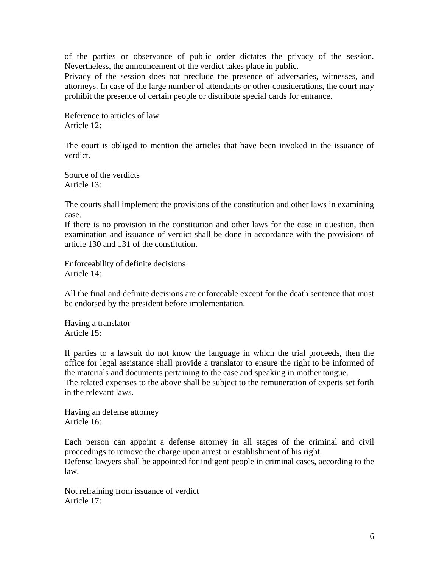of the parties or observance of public order dictates the privacy of the session. Nevertheless, the announcement of the verdict takes place in public.

Privacy of the session does not preclude the presence of adversaries, witnesses, and attorneys. In case of the large number of attendants or other considerations, the court may prohibit the presence of certain people or distribute special cards for entrance.

Reference to articles of law Article 12:

The court is obliged to mention the articles that have been invoked in the issuance of verdict.

Source of the verdicts Article 13:

The courts shall implement the provisions of the constitution and other laws in examining case.

If there is no provision in the constitution and other laws for the case in question, then examination and issuance of verdict shall be done in accordance with the provisions of article 130 and 131 of the constitution.

Enforceability of definite decisions Article 14:

All the final and definite decisions are enforceable except for the death sentence that must be endorsed by the president before implementation.

Having a translator Article 15:

If parties to a lawsuit do not know the language in which the trial proceeds, then the office for legal assistance shall provide a translator to ensure the right to be informed of the materials and documents pertaining to the case and speaking in mother tongue. The related expenses to the above shall be subject to the remuneration of experts set forth in the relevant laws.

Having an defense attorney Article 16:

Each person can appoint a defense attorney in all stages of the criminal and civil proceedings to remove the charge upon arrest or establishment of his right.

Defense lawyers shall be appointed for indigent people in criminal cases, according to the law.

Not refraining from issuance of verdict Article 17: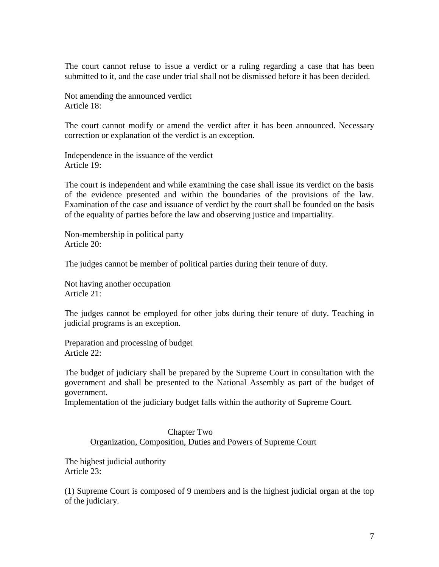The court cannot refuse to issue a verdict or a ruling regarding a case that has been submitted to it, and the case under trial shall not be dismissed before it has been decided.

Not amending the announced verdict Article 18:

The court cannot modify or amend the verdict after it has been announced. Necessary correction or explanation of the verdict is an exception.

Independence in the issuance of the verdict Article 19:

The court is independent and while examining the case shall issue its verdict on the basis of the evidence presented and within the boundaries of the provisions of the law. Examination of the case and issuance of verdict by the court shall be founded on the basis of the equality of parties before the law and observing justice and impartiality.

Non-membership in political party Article 20:

The judges cannot be member of political parties during their tenure of duty.

Not having another occupation Article 21:

The judges cannot be employed for other jobs during their tenure of duty. Teaching in judicial programs is an exception.

Preparation and processing of budget Article 22:

The budget of judiciary shall be prepared by the Supreme Court in consultation with the government and shall be presented to the National Assembly as part of the budget of government.

Implementation of the judiciary budget falls within the authority of Supreme Court.

#### Chapter Two Organization, Composition, Duties and Powers of Supreme Court

The highest judicial authority Article 23:

(1) Supreme Court is composed of 9 members and is the highest judicial organ at the top of the judiciary.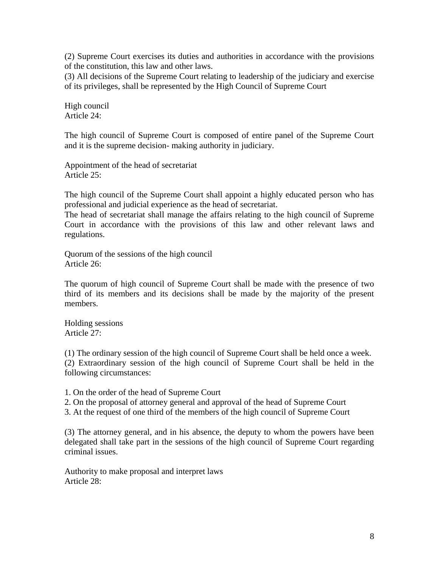(2) Supreme Court exercises its duties and authorities in accordance with the provisions of the constitution, this law and other laws.

(3) All decisions of the Supreme Court relating to leadership of the judiciary and exercise of its privileges, shall be represented by the High Council of Supreme Court

High council Article 24:

The high council of Supreme Court is composed of entire panel of the Supreme Court and it is the supreme decision- making authority in judiciary.

Appointment of the head of secretariat Article 25:

The high council of the Supreme Court shall appoint a highly educated person who has professional and judicial experience as the head of secretariat.

The head of secretariat shall manage the affairs relating to the high council of Supreme Court in accordance with the provisions of this law and other relevant laws and regulations.

Quorum of the sessions of the high council Article 26:

The quorum of high council of Supreme Court shall be made with the presence of two third of its members and its decisions shall be made by the majority of the present members.

Holding sessions Article 27:

(1) The ordinary session of the high council of Supreme Court shall be held once a week. (2) Extraordinary session of the high council of Supreme Court shall be held in the following circumstances:

1. On the order of the head of Supreme Court

2. On the proposal of attorney general and approval of the head of Supreme Court

3. At the request of one third of the members of the high council of Supreme Court

(3) The attorney general, and in his absence, the deputy to whom the powers have been delegated shall take part in the sessions of the high council of Supreme Court regarding criminal issues.

Authority to make proposal and interpret laws Article 28: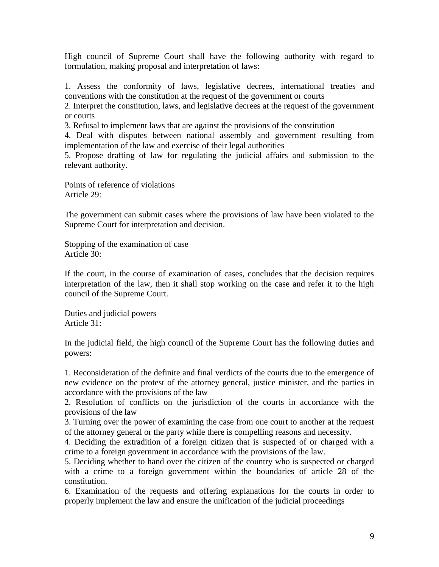High council of Supreme Court shall have the following authority with regard to formulation, making proposal and interpretation of laws:

1. Assess the conformity of laws, legislative decrees, international treaties and conventions with the constitution at the request of the government or courts

2. Interpret the constitution, laws, and legislative decrees at the request of the government or courts

3. Refusal to implement laws that are against the provisions of the constitution

4. Deal with disputes between national assembly and government resulting from implementation of the law and exercise of their legal authorities

5. Propose drafting of law for regulating the judicial affairs and submission to the relevant authority.

Points of reference of violations Article 29:

The government can submit cases where the provisions of law have been violated to the Supreme Court for interpretation and decision.

Stopping of the examination of case Article 30:

If the court, in the course of examination of cases, concludes that the decision requires interpretation of the law, then it shall stop working on the case and refer it to the high council of the Supreme Court.

Duties and judicial powers Article 31:

In the judicial field, the high council of the Supreme Court has the following duties and powers:

1. Reconsideration of the definite and final verdicts of the courts due to the emergence of new evidence on the protest of the attorney general, justice minister, and the parties in accordance with the provisions of the law

2. Resolution of conflicts on the jurisdiction of the courts in accordance with the provisions of the law

3. Turning over the power of examining the case from one court to another at the request of the attorney general or the party while there is compelling reasons and necessity.

4. Deciding the extradition of a foreign citizen that is suspected of or charged with a crime to a foreign government in accordance with the provisions of the law.

5. Deciding whether to hand over the citizen of the country who is suspected or charged with a crime to a foreign government within the boundaries of article 28 of the constitution.

6. Examination of the requests and offering explanations for the courts in order to properly implement the law and ensure the unification of the judicial proceedings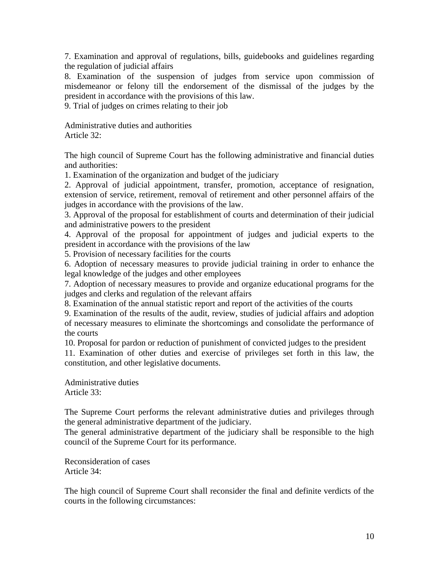7. Examination and approval of regulations, bills, guidebooks and guidelines regarding the regulation of judicial affairs

8. Examination of the suspension of judges from service upon commission of misdemeanor or felony till the endorsement of the dismissal of the judges by the president in accordance with the provisions of this law.

9. Trial of judges on crimes relating to their job

Administrative duties and authorities Article 32:

The high council of Supreme Court has the following administrative and financial duties and authorities:

1. Examination of the organization and budget of the judiciary

2. Approval of judicial appointment, transfer, promotion, acceptance of resignation, extension of service, retirement, removal of retirement and other personnel affairs of the judges in accordance with the provisions of the law.

3. Approval of the proposal for establishment of courts and determination of their judicial and administrative powers to the president

4. Approval of the proposal for appointment of judges and judicial experts to the president in accordance with the provisions of the law

5. Provision of necessary facilities for the courts

6. Adoption of necessary measures to provide judicial training in order to enhance the legal knowledge of the judges and other employees

7. Adoption of necessary measures to provide and organize educational programs for the judges and clerks and regulation of the relevant affairs

8. Examination of the annual statistic report and report of the activities of the courts

9. Examination of the results of the audit, review, studies of judicial affairs and adoption of necessary measures to eliminate the shortcomings and consolidate the performance of the courts

10. Proposal for pardon or reduction of punishment of convicted judges to the president

11. Examination of other duties and exercise of privileges set forth in this law, the constitution, and other legislative documents.

Administrative duties Article 33:

The Supreme Court performs the relevant administrative duties and privileges through the general administrative department of the judiciary.

The general administrative department of the judiciary shall be responsible to the high council of the Supreme Court for its performance.

Reconsideration of cases Article 34:

The high council of Supreme Court shall reconsider the final and definite verdicts of the courts in the following circumstances: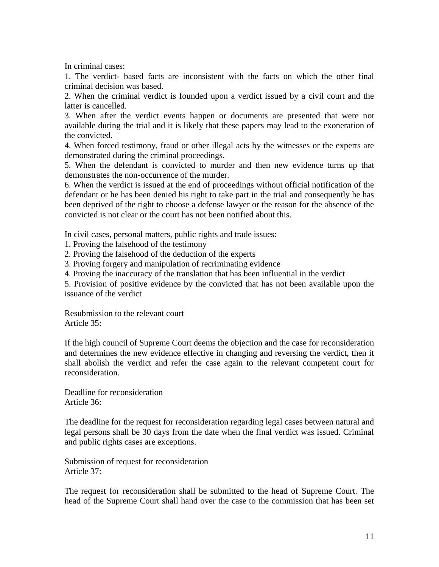In criminal cases:

1. The verdict- based facts are inconsistent with the facts on which the other final criminal decision was based.

2. When the criminal verdict is founded upon a verdict issued by a civil court and the latter is cancelled.

3. When after the verdict events happen or documents are presented that were not available during the trial and it is likely that these papers may lead to the exoneration of the convicted.

4. When forced testimony, fraud or other illegal acts by the witnesses or the experts are demonstrated during the criminal proceedings.

5. When the defendant is convicted to murder and then new evidence turns up that demonstrates the non-occurrence of the murder.

6. When the verdict is issued at the end of proceedings without official notification of the defendant or he has been denied his right to take part in the trial and consequently he has been deprived of the right to choose a defense lawyer or the reason for the absence of the convicted is not clear or the court has not been notified about this.

In civil cases, personal matters, public rights and trade issues:

1. Proving the falsehood of the testimony

2. Proving the falsehood of the deduction of the experts

3. Proving forgery and manipulation of recriminating evidence

4. Proving the inaccuracy of the translation that has been influential in the verdict

5. Provision of positive evidence by the convicted that has not been available upon the issuance of the verdict

Resubmission to the relevant court Article 35:

If the high council of Supreme Court deems the objection and the case for reconsideration and determines the new evidence effective in changing and reversing the verdict, then it shall abolish the verdict and refer the case again to the relevant competent court for reconsideration.

Deadline for reconsideration Article 36:

The deadline for the request for reconsideration regarding legal cases between natural and legal persons shall be 30 days from the date when the final verdict was issued. Criminal and public rights cases are exceptions.

Submission of request for reconsideration Article 37:

The request for reconsideration shall be submitted to the head of Supreme Court. The head of the Supreme Court shall hand over the case to the commission that has been set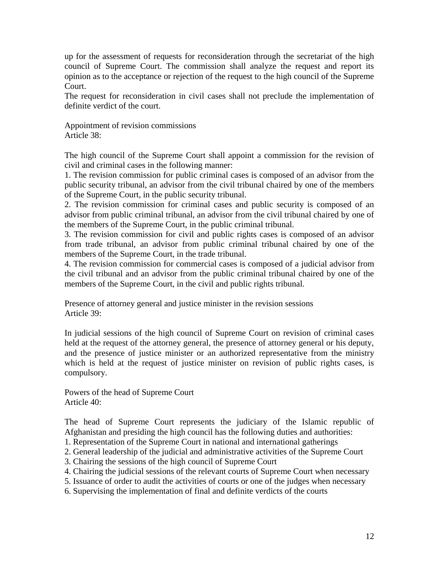up for the assessment of requests for reconsideration through the secretariat of the high council of Supreme Court. The commission shall analyze the request and report its opinion as to the acceptance or rejection of the request to the high council of the Supreme Court.

The request for reconsideration in civil cases shall not preclude the implementation of definite verdict of the court.

Appointment of revision commissions Article 38:

The high council of the Supreme Court shall appoint a commission for the revision of civil and criminal cases in the following manner:

1. The revision commission for public criminal cases is composed of an advisor from the public security tribunal, an advisor from the civil tribunal chaired by one of the members of the Supreme Court, in the public security tribunal.

2. The revision commission for criminal cases and public security is composed of an advisor from public criminal tribunal, an advisor from the civil tribunal chaired by one of the members of the Supreme Court, in the public criminal tribunal.

3. The revision commission for civil and public rights cases is composed of an advisor from trade tribunal, an advisor from public criminal tribunal chaired by one of the members of the Supreme Court, in the trade tribunal.

4. The revision commission for commercial cases is composed of a judicial advisor from the civil tribunal and an advisor from the public criminal tribunal chaired by one of the members of the Supreme Court, in the civil and public rights tribunal.

Presence of attorney general and justice minister in the revision sessions Article 39:

In judicial sessions of the high council of Supreme Court on revision of criminal cases held at the request of the attorney general, the presence of attorney general or his deputy, and the presence of justice minister or an authorized representative from the ministry which is held at the request of justice minister on revision of public rights cases, is compulsory.

Powers of the head of Supreme Court Article 40:

The head of Supreme Court represents the judiciary of the Islamic republic of Afghanistan and presiding the high council has the following duties and authorities:

- 1. Representation of the Supreme Court in national and international gatherings
- 2. General leadership of the judicial and administrative activities of the Supreme Court
- 3. Chairing the sessions of the high council of Supreme Court
- 4. Chairing the judicial sessions of the relevant courts of Supreme Court when necessary
- 5. Issuance of order to audit the activities of courts or one of the judges when necessary
- 6. Supervising the implementation of final and definite verdicts of the courts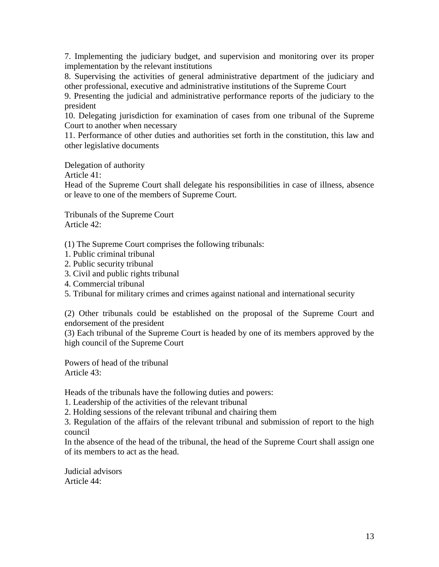7. Implementing the judiciary budget, and supervision and monitoring over its proper implementation by the relevant institutions

8. Supervising the activities of general administrative department of the judiciary and other professional, executive and administrative institutions of the Supreme Court

9. Presenting the judicial and administrative performance reports of the judiciary to the president

10. Delegating jurisdiction for examination of cases from one tribunal of the Supreme Court to another when necessary

11. Performance of other duties and authorities set forth in the constitution, this law and other legislative documents

Delegation of authority

Article 41:

Head of the Supreme Court shall delegate his responsibilities in case of illness, absence or leave to one of the members of Supreme Court.

Tribunals of the Supreme Court Article 42:

(1) The Supreme Court comprises the following tribunals:

- 1. Public criminal tribunal
- 2. Public security tribunal
- 3. Civil and public rights tribunal
- 4. Commercial tribunal
- 5. Tribunal for military crimes and crimes against national and international security

(2) Other tribunals could be established on the proposal of the Supreme Court and endorsement of the president

(3) Each tribunal of the Supreme Court is headed by one of its members approved by the high council of the Supreme Court

Powers of head of the tribunal Article 43:

Heads of the tribunals have the following duties and powers:

1. Leadership of the activities of the relevant tribunal

2. Holding sessions of the relevant tribunal and chairing them

3. Regulation of the affairs of the relevant tribunal and submission of report to the high council

In the absence of the head of the tribunal, the head of the Supreme Court shall assign one of its members to act as the head.

Judicial advisors Article 44: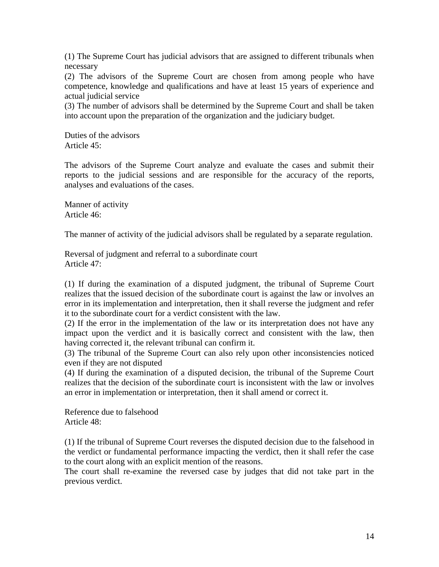(1) The Supreme Court has judicial advisors that are assigned to different tribunals when necessary

(2) The advisors of the Supreme Court are chosen from among people who have competence, knowledge and qualifications and have at least 15 years of experience and actual judicial service

(3) The number of advisors shall be determined by the Supreme Court and shall be taken into account upon the preparation of the organization and the judiciary budget.

Duties of the advisors Article 45:

The advisors of the Supreme Court analyze and evaluate the cases and submit their reports to the judicial sessions and are responsible for the accuracy of the reports, analyses and evaluations of the cases.

Manner of activity Article 46:

The manner of activity of the judicial advisors shall be regulated by a separate regulation.

Reversal of judgment and referral to a subordinate court Article 47:

(1) If during the examination of a disputed judgment, the tribunal of Supreme Court realizes that the issued decision of the subordinate court is against the law or involves an error in its implementation and interpretation, then it shall reverse the judgment and refer it to the subordinate court for a verdict consistent with the law.

(2) If the error in the implementation of the law or its interpretation does not have any impact upon the verdict and it is basically correct and consistent with the law, then having corrected it, the relevant tribunal can confirm it.

(3) The tribunal of the Supreme Court can also rely upon other inconsistencies noticed even if they are not disputed

(4) If during the examination of a disputed decision, the tribunal of the Supreme Court realizes that the decision of the subordinate court is inconsistent with the law or involves an error in implementation or interpretation, then it shall amend or correct it.

Reference due to falsehood Article 48:

(1) If the tribunal of Supreme Court reverses the disputed decision due to the falsehood in the verdict or fundamental performance impacting the verdict, then it shall refer the case to the court along with an explicit mention of the reasons.

The court shall re-examine the reversed case by judges that did not take part in the previous verdict.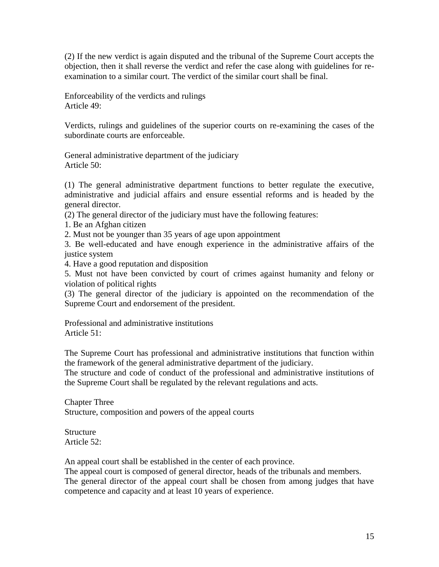(2) If the new verdict is again disputed and the tribunal of the Supreme Court accepts the objection, then it shall reverse the verdict and refer the case along with guidelines for reexamination to a similar court. The verdict of the similar court shall be final.

Enforceability of the verdicts and rulings Article 49:

Verdicts, rulings and guidelines of the superior courts on re-examining the cases of the subordinate courts are enforceable.

General administrative department of the judiciary Article 50:

(1) The general administrative department functions to better regulate the executive, administrative and judicial affairs and ensure essential reforms and is headed by the general director.

(2) The general director of the judiciary must have the following features:

1. Be an Afghan citizen

2. Must not be younger than 35 years of age upon appointment

3. Be well-educated and have enough experience in the administrative affairs of the justice system

4. Have a good reputation and disposition

5. Must not have been convicted by court of crimes against humanity and felony or violation of political rights

(3) The general director of the judiciary is appointed on the recommendation of the Supreme Court and endorsement of the president.

Professional and administrative institutions Article 51:

The Supreme Court has professional and administrative institutions that function within the framework of the general administrative department of the judiciary.

The structure and code of conduct of the professional and administrative institutions of the Supreme Court shall be regulated by the relevant regulations and acts.

Chapter Three Structure, composition and powers of the appeal courts

**Structure** Article 52:

An appeal court shall be established in the center of each province.

The appeal court is composed of general director, heads of the tribunals and members. The general director of the appeal court shall be chosen from among judges that have competence and capacity and at least 10 years of experience.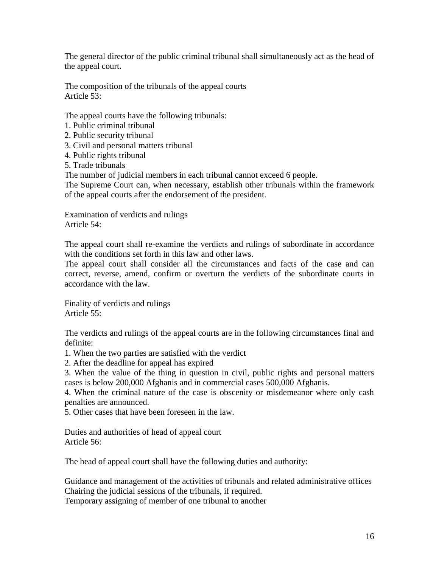The general director of the public criminal tribunal shall simultaneously act as the head of the appeal court.

The composition of the tribunals of the appeal courts Article 53:

The appeal courts have the following tribunals:

- 1. Public criminal tribunal
- 2. Public security tribunal
- 3. Civil and personal matters tribunal
- 4. Public rights tribunal
- 5. Trade tribunals

The number of judicial members in each tribunal cannot exceed 6 people.

The Supreme Court can, when necessary, establish other tribunals within the framework of the appeal courts after the endorsement of the president.

Examination of verdicts and rulings Article 54:

The appeal court shall re-examine the verdicts and rulings of subordinate in accordance with the conditions set forth in this law and other laws.

The appeal court shall consider all the circumstances and facts of the case and can correct, reverse, amend, confirm or overturn the verdicts of the subordinate courts in accordance with the law.

Finality of verdicts and rulings Article 55:

The verdicts and rulings of the appeal courts are in the following circumstances final and definite:

1. When the two parties are satisfied with the verdict

2. After the deadline for appeal has expired

3. When the value of the thing in question in civil, public rights and personal matters cases is below 200,000 Afghanis and in commercial cases 500,000 Afghanis.

4. When the criminal nature of the case is obscenity or misdemeanor where only cash penalties are announced.

5. Other cases that have been foreseen in the law.

Duties and authorities of head of appeal court Article 56:

The head of appeal court shall have the following duties and authority:

Guidance and management of the activities of tribunals and related administrative offices Chairing the judicial sessions of the tribunals, if required.

Temporary assigning of member of one tribunal to another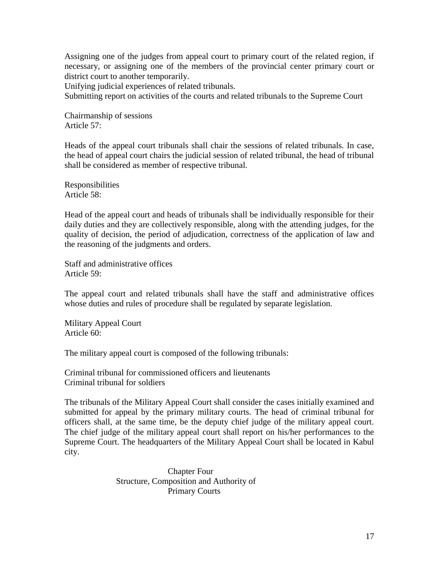Assigning one of the judges from appeal court to primary court of the related region, if necessary, or assigning one of the members of the provincial center primary court or district court to another temporarily.

Unifying judicial experiences of related tribunals.

Submitting report on activities of the courts and related tribunals to the Supreme Court

Chairmanship of sessions Article 57:

Heads of the appeal court tribunals shall chair the sessions of related tribunals. In case, the head of appeal court chairs the judicial session of related tribunal, the head of tribunal shall be considered as member of respective tribunal.

Responsibilities Article 58:

Head of the appeal court and heads of tribunals shall be individually responsible for their daily duties and they are collectively responsible, along with the attending judges, for the quality of decision, the period of adjudication, correctness of the application of law and the reasoning of the judgments and orders.

Staff and administrative offices Article 59:

The appeal court and related tribunals shall have the staff and administrative offices whose duties and rules of procedure shall be regulated by separate legislation.

Military Appeal Court Article 60:

The military appeal court is composed of the following tribunals:

Criminal tribunal for commissioned officers and lieutenants Criminal tribunal for soldiers

The tribunals of the Military Appeal Court shall consider the cases initially examined and submitted for appeal by the primary military courts. The head of criminal tribunal for officers shall, at the same time, be the deputy chief judge of the military appeal court. The chief judge of the military appeal court shall report on his/her performances to the Supreme Court. The headquarters of the Military Appeal Court shall be located in Kabul city.

> Chapter Four Structure, Composition and Authority of Primary Courts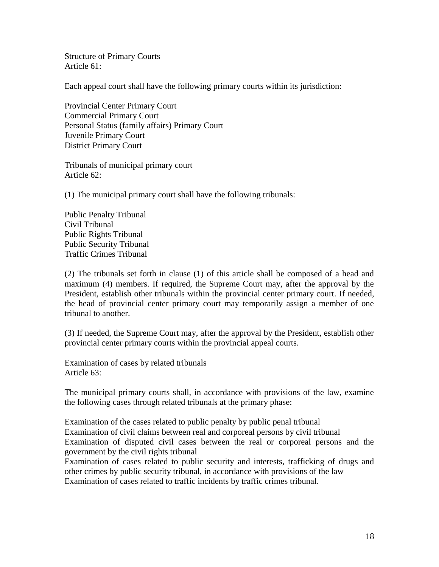Structure of Primary Courts Article 61:

Each appeal court shall have the following primary courts within its jurisdiction:

Provincial Center Primary Court Commercial Primary Court Personal Status (family affairs) Primary Court Juvenile Primary Court District Primary Court

Tribunals of municipal primary court Article 62:

(1) The municipal primary court shall have the following tribunals:

Public Penalty Tribunal Civil Tribunal Public Rights Tribunal Public Security Tribunal Traffic Crimes Tribunal

(2) The tribunals set forth in clause (1) of this article shall be composed of a head and maximum (4) members. If required, the Supreme Court may, after the approval by the President, establish other tribunals within the provincial center primary court. If needed, the head of provincial center primary court may temporarily assign a member of one tribunal to another.

(3) If needed, the Supreme Court may, after the approval by the President, establish other provincial center primary courts within the provincial appeal courts.

Examination of cases by related tribunals Article 63:

The municipal primary courts shall, in accordance with provisions of the law, examine the following cases through related tribunals at the primary phase:

Examination of the cases related to public penalty by public penal tribunal Examination of civil claims between real and corporeal persons by civil tribunal Examination of disputed civil cases between the real or corporeal persons and the government by the civil rights tribunal

Examination of cases related to public security and interests, trafficking of drugs and other crimes by public security tribunal, in accordance with provisions of the law Examination of cases related to traffic incidents by traffic crimes tribunal.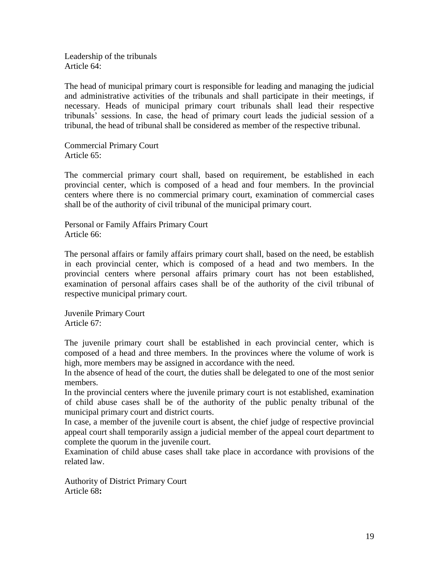Leadership of the tribunals Article 64:

The head of municipal primary court is responsible for leading and managing the judicial and administrative activities of the tribunals and shall participate in their meetings, if necessary. Heads of municipal primary court tribunals shall lead their respective tribunals' sessions. In case, the head of primary court leads the judicial session of a tribunal, the head of tribunal shall be considered as member of the respective tribunal.

Commercial Primary Court Article 65:

The commercial primary court shall, based on requirement, be established in each provincial center, which is composed of a head and four members. In the provincial centers where there is no commercial primary court, examination of commercial cases shall be of the authority of civil tribunal of the municipal primary court.

Personal or Family Affairs Primary Court Article 66:

The personal affairs or family affairs primary court shall, based on the need, be establish in each provincial center, which is composed of a head and two members. In the provincial centers where personal affairs primary court has not been established, examination of personal affairs cases shall be of the authority of the civil tribunal of respective municipal primary court.

Juvenile Primary Court Article 67:

The juvenile primary court shall be established in each provincial center, which is composed of a head and three members. In the provinces where the volume of work is high, more members may be assigned in accordance with the need.

In the absence of head of the court, the duties shall be delegated to one of the most senior members.

In the provincial centers where the juvenile primary court is not established, examination of child abuse cases shall be of the authority of the public penalty tribunal of the municipal primary court and district courts.

In case, a member of the juvenile court is absent, the chief judge of respective provincial appeal court shall temporarily assign a judicial member of the appeal court department to complete the quorum in the juvenile court.

Examination of child abuse cases shall take place in accordance with provisions of the related law.

Authority of District Primary Court Article 68**:**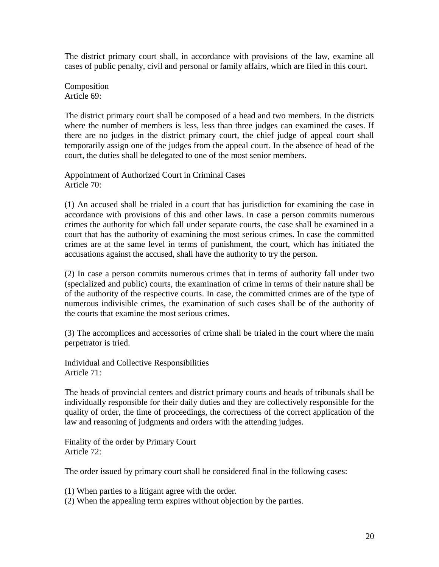The district primary court shall, in accordance with provisions of the law, examine all cases of public penalty, civil and personal or family affairs, which are filed in this court.

Composition Article 69:

The district primary court shall be composed of a head and two members. In the districts where the number of members is less, less than three judges can examined the cases. If there are no judges in the district primary court, the chief judge of appeal court shall temporarily assign one of the judges from the appeal court. In the absence of head of the court, the duties shall be delegated to one of the most senior members.

Appointment of Authorized Court in Criminal Cases Article 70:

(1) An accused shall be trialed in a court that has jurisdiction for examining the case in accordance with provisions of this and other laws. In case a person commits numerous crimes the authority for which fall under separate courts, the case shall be examined in a court that has the authority of examining the most serious crimes. In case the committed crimes are at the same level in terms of punishment, the court, which has initiated the accusations against the accused, shall have the authority to try the person.

(2) In case a person commits numerous crimes that in terms of authority fall under two (specialized and public) courts, the examination of crime in terms of their nature shall be of the authority of the respective courts. In case, the committed crimes are of the type of numerous indivisible crimes, the examination of such cases shall be of the authority of the courts that examine the most serious crimes.

(3) The accomplices and accessories of crime shall be trialed in the court where the main perpetrator is tried.

Individual and Collective Responsibilities Article 71:

The heads of provincial centers and district primary courts and heads of tribunals shall be individually responsible for their daily duties and they are collectively responsible for the quality of order, the time of proceedings, the correctness of the correct application of the law and reasoning of judgments and orders with the attending judges.

Finality of the order by Primary Court Article 72:

The order issued by primary court shall be considered final in the following cases:

- (1) When parties to a litigant agree with the order.
- (2) When the appealing term expires without objection by the parties.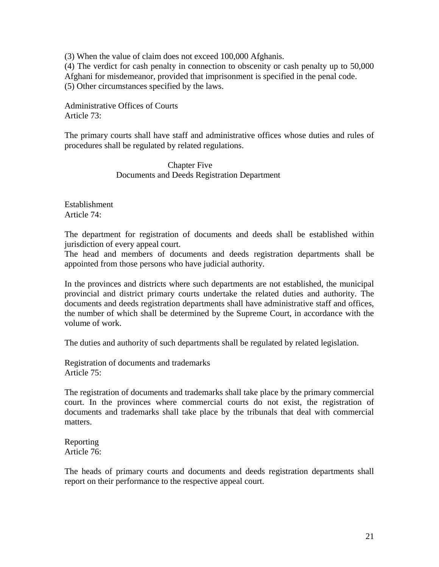(3) When the value of claim does not exceed 100,000 Afghanis.

(4) The verdict for cash penalty in connection to obscenity or cash penalty up to 50,000 Afghani for misdemeanor, provided that imprisonment is specified in the penal code. (5) Other circumstances specified by the laws.

Administrative Offices of Courts Article 73:

The primary courts shall have staff and administrative offices whose duties and rules of procedures shall be regulated by related regulations.

> Chapter Five Documents and Deeds Registration Department

Establishment Article 74:

The department for registration of documents and deeds shall be established within jurisdiction of every appeal court.

The head and members of documents and deeds registration departments shall be appointed from those persons who have judicial authority.

In the provinces and districts where such departments are not established, the municipal provincial and district primary courts undertake the related duties and authority. The documents and deeds registration departments shall have administrative staff and offices, the number of which shall be determined by the Supreme Court, in accordance with the volume of work.

The duties and authority of such departments shall be regulated by related legislation.

Registration of documents and trademarks Article 75:

The registration of documents and trademarks shall take place by the primary commercial court. In the provinces where commercial courts do not exist, the registration of documents and trademarks shall take place by the tribunals that deal with commercial matters.

Reporting Article 76:

The heads of primary courts and documents and deeds registration departments shall report on their performance to the respective appeal court.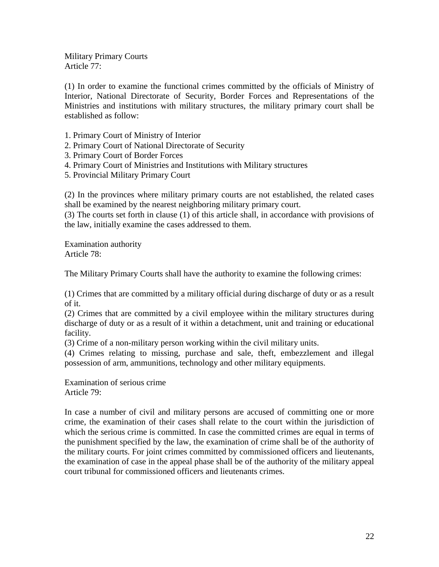Military Primary Courts Article 77:

(1) In order to examine the functional crimes committed by the officials of Ministry of Interior, National Directorate of Security, Border Forces and Representations of the Ministries and institutions with military structures, the military primary court shall be established as follow:

- 1. Primary Court of Ministry of Interior
- 2. Primary Court of National Directorate of Security
- 3. Primary Court of Border Forces
- 4. Primary Court of Ministries and Institutions with Military structures
- 5. Provincial Military Primary Court

(2) In the provinces where military primary courts are not established, the related cases shall be examined by the nearest neighboring military primary court.

(3) The courts set forth in clause (1) of this article shall, in accordance with provisions of the law, initially examine the cases addressed to them.

Examination authority Article 78:

The Military Primary Courts shall have the authority to examine the following crimes:

(1) Crimes that are committed by a military official during discharge of duty or as a result of it.

(2) Crimes that are committed by a civil employee within the military structures during discharge of duty or as a result of it within a detachment, unit and training or educational facility.

(3) Crime of a non-military person working within the civil military units.

(4) Crimes relating to missing, purchase and sale, theft, embezzlement and illegal possession of arm, ammunitions, technology and other military equipments.

Examination of serious crime Article 79:

In case a number of civil and military persons are accused of committing one or more crime, the examination of their cases shall relate to the court within the jurisdiction of which the serious crime is committed. In case the committed crimes are equal in terms of the punishment specified by the law, the examination of crime shall be of the authority of the military courts. For joint crimes committed by commissioned officers and lieutenants, the examination of case in the appeal phase shall be of the authority of the military appeal court tribunal for commissioned officers and lieutenants crimes.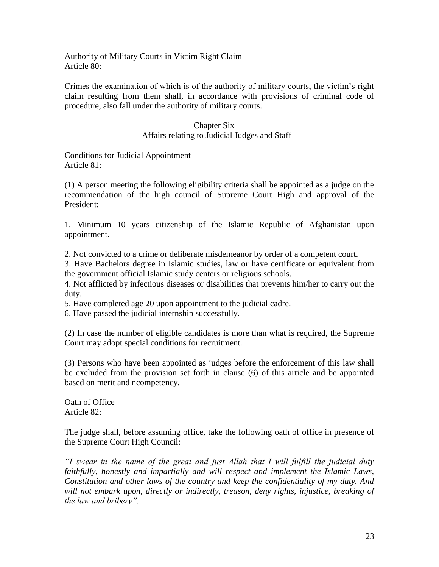Authority of Military Courts in Victim Right Claim Article 80:

Crimes the examination of which is of the authority of military courts, the victim's right claim resulting from them shall, in accordance with provisions of criminal code of procedure, also fall under the authority of military courts.

## Chapter Six

### Affairs relating to Judicial Judges and Staff

Conditions for Judicial Appointment Article 81:

(1) A person meeting the following eligibility criteria shall be appointed as a judge on the recommendation of the high council of Supreme Court High and approval of the President:

1. Minimum 10 years citizenship of the Islamic Republic of Afghanistan upon appointment.

2. Not convicted to a crime or deliberate misdemeanor by order of a competent court.

3. Have Bachelors degree in Islamic studies, law or have certificate or equivalent from the government official Islamic study centers or religious schools.

4. Not afflicted by infectious diseases or disabilities that prevents him/her to carry out the duty.

5. Have completed age 20 upon appointment to the judicial cadre.

6. Have passed the judicial internship successfully.

(2) In case the number of eligible candidates is more than what is required, the Supreme Court may adopt special conditions for recruitment.

(3) Persons who have been appointed as judges before the enforcement of this law shall be excluded from the provision set forth in clause (6) of this article and be appointed based on merit and ncompetency.

Oath of Office Article 82:

The judge shall, before assuming office, take the following oath of office in presence of the Supreme Court High Council:

*"I swear in the name of the great and just Allah that I will fulfill the judicial duty faithfully, honestly and impartially and will respect and implement the Islamic Laws, Constitution and other laws of the country and keep the confidentiality of my duty. And will not embark upon, directly or indirectly, treason, deny rights, injustice, breaking of the law and bribery".*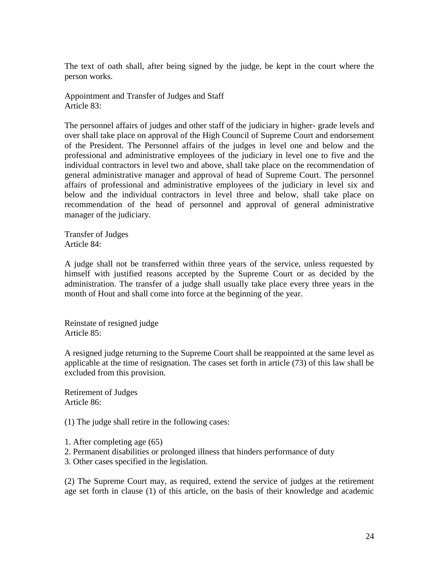The text of oath shall, after being signed by the judge, be kept in the court where the person works.

Appointment and Transfer of Judges and Staff Article 83:

The personnel affairs of judges and other staff of the judiciary in higher- grade levels and over shall take place on approval of the High Council of Supreme Court and endorsement of the President. The Personnel affairs of the judges in level one and below and the professional and administrative employees of the judiciary in level one to five and the individual contractors in level two and above, shall take place on the recommendation of general administrative manager and approval of head of Supreme Court. The personnel affairs of professional and administrative employees of the judiciary in level six and below and the individual contractors in level three and below, shall take place on recommendation of the head of personnel and approval of general administrative manager of the judiciary.

Transfer of Judges Article 84:

A judge shall not be transferred within three years of the service, unless requested by himself with justified reasons accepted by the Supreme Court or as decided by the administration. The transfer of a judge shall usually take place every three years in the month of Hout and shall come into force at the beginning of the year.

Reinstate of resigned judge Article 85:

A resigned judge returning to the Supreme Court shall be reappointed at the same level as applicable at the time of resignation. The cases set forth in article (73) of this law shall be excluded from this provision.

Retirement of Judges Article 86:

(1) The judge shall retire in the following cases:

1. After completing age (65)

- 2. Permanent disabilities or prolonged illness that hinders performance of duty
- 3. Other cases specified in the legislation.

(2) The Supreme Court may, as required, extend the service of judges at the retirement age set forth in clause (1) of this article, on the basis of their knowledge and academic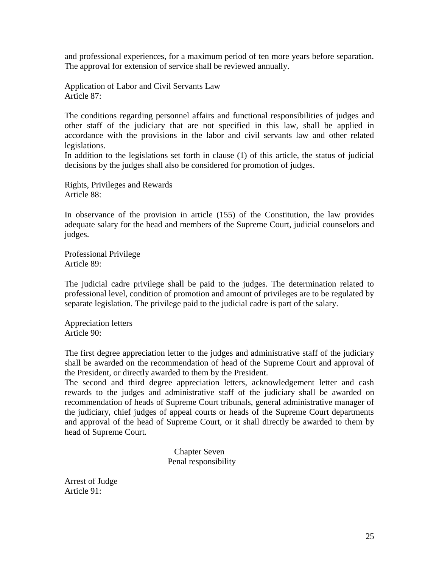and professional experiences, for a maximum period of ten more years before separation. The approval for extension of service shall be reviewed annually.

Application of Labor and Civil Servants Law Article 87:

The conditions regarding personnel affairs and functional responsibilities of judges and other staff of the judiciary that are not specified in this law, shall be applied in accordance with the provisions in the labor and civil servants law and other related legislations.

In addition to the legislations set forth in clause (1) of this article, the status of judicial decisions by the judges shall also be considered for promotion of judges.

Rights, Privileges and Rewards Article 88:

In observance of the provision in article (155) of the Constitution, the law provides adequate salary for the head and members of the Supreme Court, judicial counselors and judges.

Professional Privilege Article 89:

The judicial cadre privilege shall be paid to the judges. The determination related to professional level, condition of promotion and amount of privileges are to be regulated by separate legislation. The privilege paid to the judicial cadre is part of the salary.

Appreciation letters Article 90:

The first degree appreciation letter to the judges and administrative staff of the judiciary shall be awarded on the recommendation of head of the Supreme Court and approval of the President, or directly awarded to them by the President.

The second and third degree appreciation letters, acknowledgement letter and cash rewards to the judges and administrative staff of the judiciary shall be awarded on recommendation of heads of Supreme Court tribunals, general administrative manager of the judiciary, chief judges of appeal courts or heads of the Supreme Court departments and approval of the head of Supreme Court, or it shall directly be awarded to them by head of Supreme Court.

> Chapter Seven Penal responsibility

Arrest of Judge Article 91: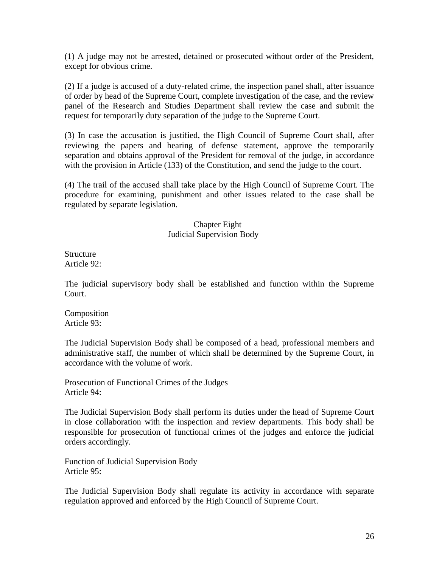(1) A judge may not be arrested, detained or prosecuted without order of the President, except for obvious crime.

(2) If a judge is accused of a duty-related crime, the inspection panel shall, after issuance of order by head of the Supreme Court, complete investigation of the case, and the review panel of the Research and Studies Department shall review the case and submit the request for temporarily duty separation of the judge to the Supreme Court.

(3) In case the accusation is justified, the High Council of Supreme Court shall, after reviewing the papers and hearing of defense statement, approve the temporarily separation and obtains approval of the President for removal of the judge, in accordance with the provision in Article (133) of the Constitution, and send the judge to the court.

(4) The trail of the accused shall take place by the High Council of Supreme Court. The procedure for examining, punishment and other issues related to the case shall be regulated by separate legislation.

#### Chapter Eight Judicial Supervision Body

**Structure** Article 92:

The judicial supervisory body shall be established and function within the Supreme Court.

**Composition** Article 93:

The Judicial Supervision Body shall be composed of a head, professional members and administrative staff, the number of which shall be determined by the Supreme Court, in accordance with the volume of work.

Prosecution of Functional Crimes of the Judges Article 94:

The Judicial Supervision Body shall perform its duties under the head of Supreme Court in close collaboration with the inspection and review departments. This body shall be responsible for prosecution of functional crimes of the judges and enforce the judicial orders accordingly.

Function of Judicial Supervision Body Article 95:

The Judicial Supervision Body shall regulate its activity in accordance with separate regulation approved and enforced by the High Council of Supreme Court.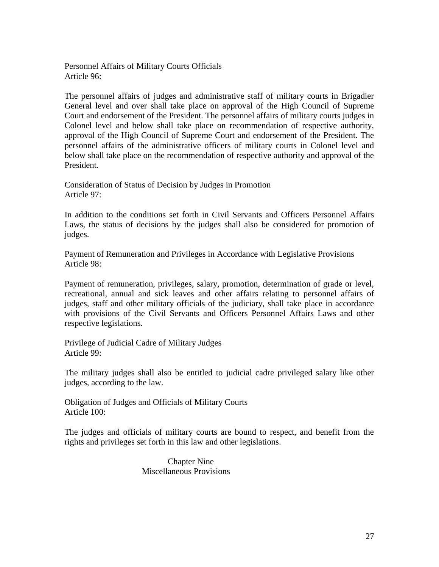Personnel Affairs of Military Courts Officials Article 96:

The personnel affairs of judges and administrative staff of military courts in Brigadier General level and over shall take place on approval of the High Council of Supreme Court and endorsement of the President. The personnel affairs of military courts judges in Colonel level and below shall take place on recommendation of respective authority, approval of the High Council of Supreme Court and endorsement of the President. The personnel affairs of the administrative officers of military courts in Colonel level and below shall take place on the recommendation of respective authority and approval of the President.

Consideration of Status of Decision by Judges in Promotion Article 97:

In addition to the conditions set forth in Civil Servants and Officers Personnel Affairs Laws, the status of decisions by the judges shall also be considered for promotion of judges.

Payment of Remuneration and Privileges in Accordance with Legislative Provisions Article 98:

Payment of remuneration, privileges, salary, promotion, determination of grade or level, recreational, annual and sick leaves and other affairs relating to personnel affairs of judges, staff and other military officials of the judiciary, shall take place in accordance with provisions of the Civil Servants and Officers Personnel Affairs Laws and other respective legislations.

Privilege of Judicial Cadre of Military Judges Article 99:

The military judges shall also be entitled to judicial cadre privileged salary like other judges, according to the law.

Obligation of Judges and Officials of Military Courts Article 100:

The judges and officials of military courts are bound to respect, and benefit from the rights and privileges set forth in this law and other legislations.

> Chapter Nine Miscellaneous Provisions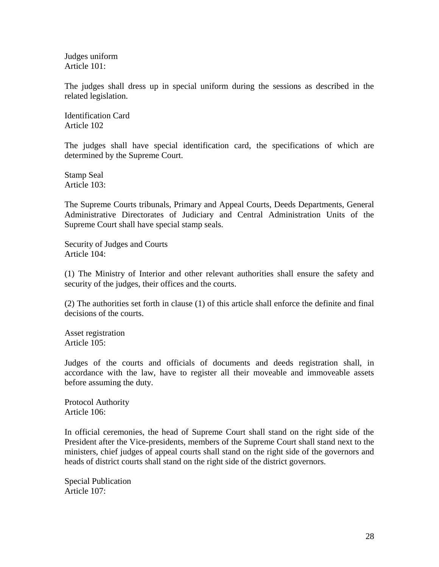Judges uniform Article 101:

The judges shall dress up in special uniform during the sessions as described in the related legislation.

Identification Card Article 102

The judges shall have special identification card, the specifications of which are determined by the Supreme Court.

Stamp Seal Article 103:

The Supreme Courts tribunals, Primary and Appeal Courts, Deeds Departments, General Administrative Directorates of Judiciary and Central Administration Units of the Supreme Court shall have special stamp seals.

Security of Judges and Courts Article 104:

(1) The Ministry of Interior and other relevant authorities shall ensure the safety and security of the judges, their offices and the courts.

(2) The authorities set forth in clause (1) of this article shall enforce the definite and final decisions of the courts.

Asset registration Article 105:

Judges of the courts and officials of documents and deeds registration shall, in accordance with the law, have to register all their moveable and immoveable assets before assuming the duty.

Protocol Authority Article 106:

In official ceremonies, the head of Supreme Court shall stand on the right side of the President after the Vice-presidents, members of the Supreme Court shall stand next to the ministers, chief judges of appeal courts shall stand on the right side of the governors and heads of district courts shall stand on the right side of the district governors.

Special Publication Article 107: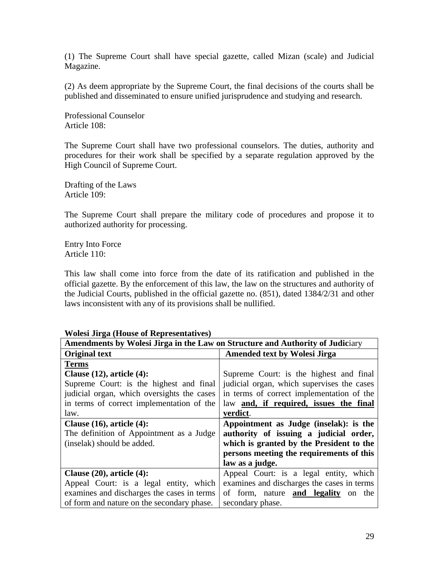(1) The Supreme Court shall have special gazette, called Mizan (scale) and Judicial Magazine.

(2) As deem appropriate by the Supreme Court, the final decisions of the courts shall be published and disseminated to ensure unified jurisprudence and studying and research.

Professional Counselor Article 108:

The Supreme Court shall have two professional counselors. The duties, authority and procedures for their work shall be specified by a separate regulation approved by the High Council of Supreme Court.

Drafting of the Laws Article 109:

The Supreme Court shall prepare the military code of procedures and propose it to authorized authority for processing.

Entry Into Force Article 110:

This law shall come into force from the date of its ratification and published in the official gazette. By the enforcement of this law, the law on the structures and authority of the Judicial Courts, published in the official gazette no. (851), dated 1384/2/31 and other laws inconsistent with any of its provisions shall be nullified.

| $\cdots$ order on ga $(410 \text{ m/s})$ or all problems $\cdots$<br>Amendments by Wolesi Jirga in the Law on Structure and Authority of Judiciary |                                            |
|----------------------------------------------------------------------------------------------------------------------------------------------------|--------------------------------------------|
| <b>Original text</b>                                                                                                                               | <b>Amended text by Wolesi Jirga</b>        |
| <b>Terms</b>                                                                                                                                       |                                            |
| Clause $(12)$ , article $(4)$ :                                                                                                                    | Supreme Court: is the highest and final    |
| Supreme Court: is the highest and final                                                                                                            | judicial organ, which supervises the cases |
| judicial organ, which oversights the cases                                                                                                         | in terms of correct implementation of the  |
| in terms of correct implementation of the                                                                                                          | law and, if required, issues the final     |
| law.                                                                                                                                               | verdict.                                   |
| Clause $(16)$ , article $(4)$ :                                                                                                                    | Appointment as Judge (inselak): is the     |
| The definition of Appointment as a Judge                                                                                                           | authority of issuing a judicial order,     |
| (inselak) should be added.                                                                                                                         | which is granted by the President to the   |
|                                                                                                                                                    | persons meeting the requirements of this   |
|                                                                                                                                                    | law as a judge.                            |
| Clause $(20)$ , article $(4)$ :                                                                                                                    | Appeal Court: is a legal entity, which     |
| Appeal Court: is a legal entity, which                                                                                                             | examines and discharges the cases in terms |
| examines and discharges the cases in terms                                                                                                         | of form, nature <b>and legality</b> on the |
| of form and nature on the secondary phase.                                                                                                         | secondary phase.                           |

## **Wolesi Jirga (House of Representatives)**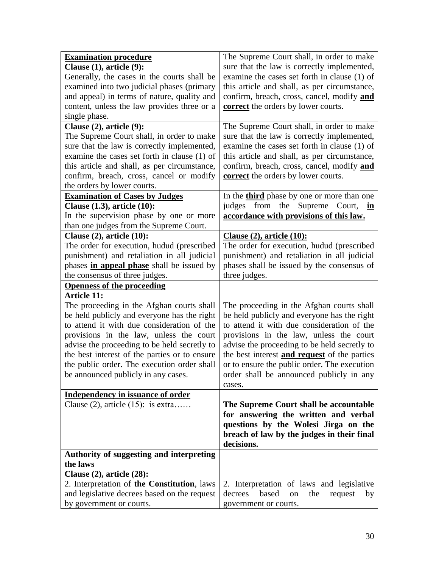| Clause $(1)$ , article $(9)$ :<br>sure that the law is correctly implemented,<br>Generally, the cases in the courts shall be<br>examine the cases set forth in clause (1) of<br>this article and shall, as per circumstance,<br>examined into two judicial phases (primary<br>and appeal) in terms of nature, quality and<br>confirm, breach, cross, cancel, modify and<br>content, unless the law provides three or a<br>correct the orders by lower courts.<br>single phase.<br>Clause (2), article (9):<br>The Supreme Court shall, in order to make<br>The Supreme Court shall, in order to make<br>sure that the law is correctly implemented,<br>sure that the law is correctly implemented,<br>examine the cases set forth in clause (1) of<br>examine the cases set forth in clause (1) of<br>this article and shall, as per circumstance,<br>this article and shall, as per circumstance,<br>confirm, breach, cross, cancel, modify and<br>confirm, breach, cross, cancel or modify<br><b>correct</b> the orders by lower courts.<br>the orders by lower courts.<br><b>Examination of Cases by Judges</b><br>In the <b>third</b> phase by one or more than one<br>judges from the Supreme Court, in<br>Clause $(1.3)$ , article $(10)$ :<br>In the supervision phase by one or more<br>accordance with provisions of this law.<br>than one judges from the Supreme Court.<br>Clause $(2)$ , article $(10)$ :<br>Clause (2), article (10):<br>The order for execution, hudud (prescribed<br>The order for execution, hudud (prescribed<br>punishment) and retaliation in all judicial<br>punishment) and retaliation in all judicial<br>phases shall be issued by the consensus of<br>phases in appeal phase shall be issued by<br>the consensus of three judges.<br>three judges.<br><b>Openness of the proceeding</b><br><b>Article 11:</b><br>The proceeding in the Afghan courts shall<br>The proceeding in the Afghan courts shall<br>be held publicly and everyone has the right<br>be held publicly and everyone has the right<br>to attend it with due consideration of the<br>to attend it with due consideration of the<br>provisions in the law, unless the court<br>provisions in the law, unless the court<br>advise the proceeding to be held secretly to<br>advise the proceeding to be held secretly to<br>the best interest <b>and request</b> of the parties<br>the best interest of the parties or to ensure<br>the public order. The execution order shall<br>or to ensure the public order. The execution<br>be announced publicly in any cases.<br>order shall be announced publicly in any<br>cases.<br><b>Independency in issuance of order</b><br>Clause $(2)$ , article $(15)$ : is extra<br>The Supreme Court shall be accountable<br>for answering the written and verbal<br>questions by the Wolesi Jirga on the<br>breach of law by the judges in their final<br>decisions.<br>Authority of suggesting and interpreting<br>the laws<br>Clause $(2)$ , article $(28)$ :<br>2. Interpretation of the Constitution, laws<br>2. Interpretation of laws and legislative<br>and legislative decrees based on the request<br>based<br>decrees<br>the<br>on<br>request<br>by<br>by government or courts.<br>government or courts. | <b>Examination procedure</b> | The Supreme Court shall, in order to make |
|-----------------------------------------------------------------------------------------------------------------------------------------------------------------------------------------------------------------------------------------------------------------------------------------------------------------------------------------------------------------------------------------------------------------------------------------------------------------------------------------------------------------------------------------------------------------------------------------------------------------------------------------------------------------------------------------------------------------------------------------------------------------------------------------------------------------------------------------------------------------------------------------------------------------------------------------------------------------------------------------------------------------------------------------------------------------------------------------------------------------------------------------------------------------------------------------------------------------------------------------------------------------------------------------------------------------------------------------------------------------------------------------------------------------------------------------------------------------------------------------------------------------------------------------------------------------------------------------------------------------------------------------------------------------------------------------------------------------------------------------------------------------------------------------------------------------------------------------------------------------------------------------------------------------------------------------------------------------------------------------------------------------------------------------------------------------------------------------------------------------------------------------------------------------------------------------------------------------------------------------------------------------------------------------------------------------------------------------------------------------------------------------------------------------------------------------------------------------------------------------------------------------------------------------------------------------------------------------------------------------------------------------------------------------------------------------------------------------------------------------------------------------------------------------------------------------------------------------------------------------------------------------------------------------------------------------------------------------------------------------------------------------------------------------------------------------------------------------------------------------------------------------------------------------------------------------------------------------------------------------------------------------|------------------------------|-------------------------------------------|
|                                                                                                                                                                                                                                                                                                                                                                                                                                                                                                                                                                                                                                                                                                                                                                                                                                                                                                                                                                                                                                                                                                                                                                                                                                                                                                                                                                                                                                                                                                                                                                                                                                                                                                                                                                                                                                                                                                                                                                                                                                                                                                                                                                                                                                                                                                                                                                                                                                                                                                                                                                                                                                                                                                                                                                                                                                                                                                                                                                                                                                                                                                                                                                                                                                                                 |                              |                                           |
|                                                                                                                                                                                                                                                                                                                                                                                                                                                                                                                                                                                                                                                                                                                                                                                                                                                                                                                                                                                                                                                                                                                                                                                                                                                                                                                                                                                                                                                                                                                                                                                                                                                                                                                                                                                                                                                                                                                                                                                                                                                                                                                                                                                                                                                                                                                                                                                                                                                                                                                                                                                                                                                                                                                                                                                                                                                                                                                                                                                                                                                                                                                                                                                                                                                                 |                              |                                           |
|                                                                                                                                                                                                                                                                                                                                                                                                                                                                                                                                                                                                                                                                                                                                                                                                                                                                                                                                                                                                                                                                                                                                                                                                                                                                                                                                                                                                                                                                                                                                                                                                                                                                                                                                                                                                                                                                                                                                                                                                                                                                                                                                                                                                                                                                                                                                                                                                                                                                                                                                                                                                                                                                                                                                                                                                                                                                                                                                                                                                                                                                                                                                                                                                                                                                 |                              |                                           |
|                                                                                                                                                                                                                                                                                                                                                                                                                                                                                                                                                                                                                                                                                                                                                                                                                                                                                                                                                                                                                                                                                                                                                                                                                                                                                                                                                                                                                                                                                                                                                                                                                                                                                                                                                                                                                                                                                                                                                                                                                                                                                                                                                                                                                                                                                                                                                                                                                                                                                                                                                                                                                                                                                                                                                                                                                                                                                                                                                                                                                                                                                                                                                                                                                                                                 |                              |                                           |
|                                                                                                                                                                                                                                                                                                                                                                                                                                                                                                                                                                                                                                                                                                                                                                                                                                                                                                                                                                                                                                                                                                                                                                                                                                                                                                                                                                                                                                                                                                                                                                                                                                                                                                                                                                                                                                                                                                                                                                                                                                                                                                                                                                                                                                                                                                                                                                                                                                                                                                                                                                                                                                                                                                                                                                                                                                                                                                                                                                                                                                                                                                                                                                                                                                                                 |                              |                                           |
|                                                                                                                                                                                                                                                                                                                                                                                                                                                                                                                                                                                                                                                                                                                                                                                                                                                                                                                                                                                                                                                                                                                                                                                                                                                                                                                                                                                                                                                                                                                                                                                                                                                                                                                                                                                                                                                                                                                                                                                                                                                                                                                                                                                                                                                                                                                                                                                                                                                                                                                                                                                                                                                                                                                                                                                                                                                                                                                                                                                                                                                                                                                                                                                                                                                                 |                              |                                           |
|                                                                                                                                                                                                                                                                                                                                                                                                                                                                                                                                                                                                                                                                                                                                                                                                                                                                                                                                                                                                                                                                                                                                                                                                                                                                                                                                                                                                                                                                                                                                                                                                                                                                                                                                                                                                                                                                                                                                                                                                                                                                                                                                                                                                                                                                                                                                                                                                                                                                                                                                                                                                                                                                                                                                                                                                                                                                                                                                                                                                                                                                                                                                                                                                                                                                 |                              |                                           |
|                                                                                                                                                                                                                                                                                                                                                                                                                                                                                                                                                                                                                                                                                                                                                                                                                                                                                                                                                                                                                                                                                                                                                                                                                                                                                                                                                                                                                                                                                                                                                                                                                                                                                                                                                                                                                                                                                                                                                                                                                                                                                                                                                                                                                                                                                                                                                                                                                                                                                                                                                                                                                                                                                                                                                                                                                                                                                                                                                                                                                                                                                                                                                                                                                                                                 |                              |                                           |
|                                                                                                                                                                                                                                                                                                                                                                                                                                                                                                                                                                                                                                                                                                                                                                                                                                                                                                                                                                                                                                                                                                                                                                                                                                                                                                                                                                                                                                                                                                                                                                                                                                                                                                                                                                                                                                                                                                                                                                                                                                                                                                                                                                                                                                                                                                                                                                                                                                                                                                                                                                                                                                                                                                                                                                                                                                                                                                                                                                                                                                                                                                                                                                                                                                                                 |                              |                                           |
|                                                                                                                                                                                                                                                                                                                                                                                                                                                                                                                                                                                                                                                                                                                                                                                                                                                                                                                                                                                                                                                                                                                                                                                                                                                                                                                                                                                                                                                                                                                                                                                                                                                                                                                                                                                                                                                                                                                                                                                                                                                                                                                                                                                                                                                                                                                                                                                                                                                                                                                                                                                                                                                                                                                                                                                                                                                                                                                                                                                                                                                                                                                                                                                                                                                                 |                              |                                           |
|                                                                                                                                                                                                                                                                                                                                                                                                                                                                                                                                                                                                                                                                                                                                                                                                                                                                                                                                                                                                                                                                                                                                                                                                                                                                                                                                                                                                                                                                                                                                                                                                                                                                                                                                                                                                                                                                                                                                                                                                                                                                                                                                                                                                                                                                                                                                                                                                                                                                                                                                                                                                                                                                                                                                                                                                                                                                                                                                                                                                                                                                                                                                                                                                                                                                 |                              |                                           |
|                                                                                                                                                                                                                                                                                                                                                                                                                                                                                                                                                                                                                                                                                                                                                                                                                                                                                                                                                                                                                                                                                                                                                                                                                                                                                                                                                                                                                                                                                                                                                                                                                                                                                                                                                                                                                                                                                                                                                                                                                                                                                                                                                                                                                                                                                                                                                                                                                                                                                                                                                                                                                                                                                                                                                                                                                                                                                                                                                                                                                                                                                                                                                                                                                                                                 |                              |                                           |
|                                                                                                                                                                                                                                                                                                                                                                                                                                                                                                                                                                                                                                                                                                                                                                                                                                                                                                                                                                                                                                                                                                                                                                                                                                                                                                                                                                                                                                                                                                                                                                                                                                                                                                                                                                                                                                                                                                                                                                                                                                                                                                                                                                                                                                                                                                                                                                                                                                                                                                                                                                                                                                                                                                                                                                                                                                                                                                                                                                                                                                                                                                                                                                                                                                                                 |                              |                                           |
|                                                                                                                                                                                                                                                                                                                                                                                                                                                                                                                                                                                                                                                                                                                                                                                                                                                                                                                                                                                                                                                                                                                                                                                                                                                                                                                                                                                                                                                                                                                                                                                                                                                                                                                                                                                                                                                                                                                                                                                                                                                                                                                                                                                                                                                                                                                                                                                                                                                                                                                                                                                                                                                                                                                                                                                                                                                                                                                                                                                                                                                                                                                                                                                                                                                                 |                              |                                           |
|                                                                                                                                                                                                                                                                                                                                                                                                                                                                                                                                                                                                                                                                                                                                                                                                                                                                                                                                                                                                                                                                                                                                                                                                                                                                                                                                                                                                                                                                                                                                                                                                                                                                                                                                                                                                                                                                                                                                                                                                                                                                                                                                                                                                                                                                                                                                                                                                                                                                                                                                                                                                                                                                                                                                                                                                                                                                                                                                                                                                                                                                                                                                                                                                                                                                 |                              |                                           |
|                                                                                                                                                                                                                                                                                                                                                                                                                                                                                                                                                                                                                                                                                                                                                                                                                                                                                                                                                                                                                                                                                                                                                                                                                                                                                                                                                                                                                                                                                                                                                                                                                                                                                                                                                                                                                                                                                                                                                                                                                                                                                                                                                                                                                                                                                                                                                                                                                                                                                                                                                                                                                                                                                                                                                                                                                                                                                                                                                                                                                                                                                                                                                                                                                                                                 |                              |                                           |
|                                                                                                                                                                                                                                                                                                                                                                                                                                                                                                                                                                                                                                                                                                                                                                                                                                                                                                                                                                                                                                                                                                                                                                                                                                                                                                                                                                                                                                                                                                                                                                                                                                                                                                                                                                                                                                                                                                                                                                                                                                                                                                                                                                                                                                                                                                                                                                                                                                                                                                                                                                                                                                                                                                                                                                                                                                                                                                                                                                                                                                                                                                                                                                                                                                                                 |                              |                                           |
|                                                                                                                                                                                                                                                                                                                                                                                                                                                                                                                                                                                                                                                                                                                                                                                                                                                                                                                                                                                                                                                                                                                                                                                                                                                                                                                                                                                                                                                                                                                                                                                                                                                                                                                                                                                                                                                                                                                                                                                                                                                                                                                                                                                                                                                                                                                                                                                                                                                                                                                                                                                                                                                                                                                                                                                                                                                                                                                                                                                                                                                                                                                                                                                                                                                                 |                              |                                           |
|                                                                                                                                                                                                                                                                                                                                                                                                                                                                                                                                                                                                                                                                                                                                                                                                                                                                                                                                                                                                                                                                                                                                                                                                                                                                                                                                                                                                                                                                                                                                                                                                                                                                                                                                                                                                                                                                                                                                                                                                                                                                                                                                                                                                                                                                                                                                                                                                                                                                                                                                                                                                                                                                                                                                                                                                                                                                                                                                                                                                                                                                                                                                                                                                                                                                 |                              |                                           |
|                                                                                                                                                                                                                                                                                                                                                                                                                                                                                                                                                                                                                                                                                                                                                                                                                                                                                                                                                                                                                                                                                                                                                                                                                                                                                                                                                                                                                                                                                                                                                                                                                                                                                                                                                                                                                                                                                                                                                                                                                                                                                                                                                                                                                                                                                                                                                                                                                                                                                                                                                                                                                                                                                                                                                                                                                                                                                                                                                                                                                                                                                                                                                                                                                                                                 |                              |                                           |
|                                                                                                                                                                                                                                                                                                                                                                                                                                                                                                                                                                                                                                                                                                                                                                                                                                                                                                                                                                                                                                                                                                                                                                                                                                                                                                                                                                                                                                                                                                                                                                                                                                                                                                                                                                                                                                                                                                                                                                                                                                                                                                                                                                                                                                                                                                                                                                                                                                                                                                                                                                                                                                                                                                                                                                                                                                                                                                                                                                                                                                                                                                                                                                                                                                                                 |                              |                                           |
|                                                                                                                                                                                                                                                                                                                                                                                                                                                                                                                                                                                                                                                                                                                                                                                                                                                                                                                                                                                                                                                                                                                                                                                                                                                                                                                                                                                                                                                                                                                                                                                                                                                                                                                                                                                                                                                                                                                                                                                                                                                                                                                                                                                                                                                                                                                                                                                                                                                                                                                                                                                                                                                                                                                                                                                                                                                                                                                                                                                                                                                                                                                                                                                                                                                                 |                              |                                           |
|                                                                                                                                                                                                                                                                                                                                                                                                                                                                                                                                                                                                                                                                                                                                                                                                                                                                                                                                                                                                                                                                                                                                                                                                                                                                                                                                                                                                                                                                                                                                                                                                                                                                                                                                                                                                                                                                                                                                                                                                                                                                                                                                                                                                                                                                                                                                                                                                                                                                                                                                                                                                                                                                                                                                                                                                                                                                                                                                                                                                                                                                                                                                                                                                                                                                 |                              |                                           |
|                                                                                                                                                                                                                                                                                                                                                                                                                                                                                                                                                                                                                                                                                                                                                                                                                                                                                                                                                                                                                                                                                                                                                                                                                                                                                                                                                                                                                                                                                                                                                                                                                                                                                                                                                                                                                                                                                                                                                                                                                                                                                                                                                                                                                                                                                                                                                                                                                                                                                                                                                                                                                                                                                                                                                                                                                                                                                                                                                                                                                                                                                                                                                                                                                                                                 |                              |                                           |
|                                                                                                                                                                                                                                                                                                                                                                                                                                                                                                                                                                                                                                                                                                                                                                                                                                                                                                                                                                                                                                                                                                                                                                                                                                                                                                                                                                                                                                                                                                                                                                                                                                                                                                                                                                                                                                                                                                                                                                                                                                                                                                                                                                                                                                                                                                                                                                                                                                                                                                                                                                                                                                                                                                                                                                                                                                                                                                                                                                                                                                                                                                                                                                                                                                                                 |                              |                                           |
|                                                                                                                                                                                                                                                                                                                                                                                                                                                                                                                                                                                                                                                                                                                                                                                                                                                                                                                                                                                                                                                                                                                                                                                                                                                                                                                                                                                                                                                                                                                                                                                                                                                                                                                                                                                                                                                                                                                                                                                                                                                                                                                                                                                                                                                                                                                                                                                                                                                                                                                                                                                                                                                                                                                                                                                                                                                                                                                                                                                                                                                                                                                                                                                                                                                                 |                              |                                           |
|                                                                                                                                                                                                                                                                                                                                                                                                                                                                                                                                                                                                                                                                                                                                                                                                                                                                                                                                                                                                                                                                                                                                                                                                                                                                                                                                                                                                                                                                                                                                                                                                                                                                                                                                                                                                                                                                                                                                                                                                                                                                                                                                                                                                                                                                                                                                                                                                                                                                                                                                                                                                                                                                                                                                                                                                                                                                                                                                                                                                                                                                                                                                                                                                                                                                 |                              |                                           |
|                                                                                                                                                                                                                                                                                                                                                                                                                                                                                                                                                                                                                                                                                                                                                                                                                                                                                                                                                                                                                                                                                                                                                                                                                                                                                                                                                                                                                                                                                                                                                                                                                                                                                                                                                                                                                                                                                                                                                                                                                                                                                                                                                                                                                                                                                                                                                                                                                                                                                                                                                                                                                                                                                                                                                                                                                                                                                                                                                                                                                                                                                                                                                                                                                                                                 |                              |                                           |
|                                                                                                                                                                                                                                                                                                                                                                                                                                                                                                                                                                                                                                                                                                                                                                                                                                                                                                                                                                                                                                                                                                                                                                                                                                                                                                                                                                                                                                                                                                                                                                                                                                                                                                                                                                                                                                                                                                                                                                                                                                                                                                                                                                                                                                                                                                                                                                                                                                                                                                                                                                                                                                                                                                                                                                                                                                                                                                                                                                                                                                                                                                                                                                                                                                                                 |                              |                                           |
|                                                                                                                                                                                                                                                                                                                                                                                                                                                                                                                                                                                                                                                                                                                                                                                                                                                                                                                                                                                                                                                                                                                                                                                                                                                                                                                                                                                                                                                                                                                                                                                                                                                                                                                                                                                                                                                                                                                                                                                                                                                                                                                                                                                                                                                                                                                                                                                                                                                                                                                                                                                                                                                                                                                                                                                                                                                                                                                                                                                                                                                                                                                                                                                                                                                                 |                              |                                           |
|                                                                                                                                                                                                                                                                                                                                                                                                                                                                                                                                                                                                                                                                                                                                                                                                                                                                                                                                                                                                                                                                                                                                                                                                                                                                                                                                                                                                                                                                                                                                                                                                                                                                                                                                                                                                                                                                                                                                                                                                                                                                                                                                                                                                                                                                                                                                                                                                                                                                                                                                                                                                                                                                                                                                                                                                                                                                                                                                                                                                                                                                                                                                                                                                                                                                 |                              |                                           |
|                                                                                                                                                                                                                                                                                                                                                                                                                                                                                                                                                                                                                                                                                                                                                                                                                                                                                                                                                                                                                                                                                                                                                                                                                                                                                                                                                                                                                                                                                                                                                                                                                                                                                                                                                                                                                                                                                                                                                                                                                                                                                                                                                                                                                                                                                                                                                                                                                                                                                                                                                                                                                                                                                                                                                                                                                                                                                                                                                                                                                                                                                                                                                                                                                                                                 |                              |                                           |
|                                                                                                                                                                                                                                                                                                                                                                                                                                                                                                                                                                                                                                                                                                                                                                                                                                                                                                                                                                                                                                                                                                                                                                                                                                                                                                                                                                                                                                                                                                                                                                                                                                                                                                                                                                                                                                                                                                                                                                                                                                                                                                                                                                                                                                                                                                                                                                                                                                                                                                                                                                                                                                                                                                                                                                                                                                                                                                                                                                                                                                                                                                                                                                                                                                                                 |                              |                                           |
|                                                                                                                                                                                                                                                                                                                                                                                                                                                                                                                                                                                                                                                                                                                                                                                                                                                                                                                                                                                                                                                                                                                                                                                                                                                                                                                                                                                                                                                                                                                                                                                                                                                                                                                                                                                                                                                                                                                                                                                                                                                                                                                                                                                                                                                                                                                                                                                                                                                                                                                                                                                                                                                                                                                                                                                                                                                                                                                                                                                                                                                                                                                                                                                                                                                                 |                              |                                           |
|                                                                                                                                                                                                                                                                                                                                                                                                                                                                                                                                                                                                                                                                                                                                                                                                                                                                                                                                                                                                                                                                                                                                                                                                                                                                                                                                                                                                                                                                                                                                                                                                                                                                                                                                                                                                                                                                                                                                                                                                                                                                                                                                                                                                                                                                                                                                                                                                                                                                                                                                                                                                                                                                                                                                                                                                                                                                                                                                                                                                                                                                                                                                                                                                                                                                 |                              |                                           |
|                                                                                                                                                                                                                                                                                                                                                                                                                                                                                                                                                                                                                                                                                                                                                                                                                                                                                                                                                                                                                                                                                                                                                                                                                                                                                                                                                                                                                                                                                                                                                                                                                                                                                                                                                                                                                                                                                                                                                                                                                                                                                                                                                                                                                                                                                                                                                                                                                                                                                                                                                                                                                                                                                                                                                                                                                                                                                                                                                                                                                                                                                                                                                                                                                                                                 |                              |                                           |
|                                                                                                                                                                                                                                                                                                                                                                                                                                                                                                                                                                                                                                                                                                                                                                                                                                                                                                                                                                                                                                                                                                                                                                                                                                                                                                                                                                                                                                                                                                                                                                                                                                                                                                                                                                                                                                                                                                                                                                                                                                                                                                                                                                                                                                                                                                                                                                                                                                                                                                                                                                                                                                                                                                                                                                                                                                                                                                                                                                                                                                                                                                                                                                                                                                                                 |                              |                                           |
|                                                                                                                                                                                                                                                                                                                                                                                                                                                                                                                                                                                                                                                                                                                                                                                                                                                                                                                                                                                                                                                                                                                                                                                                                                                                                                                                                                                                                                                                                                                                                                                                                                                                                                                                                                                                                                                                                                                                                                                                                                                                                                                                                                                                                                                                                                                                                                                                                                                                                                                                                                                                                                                                                                                                                                                                                                                                                                                                                                                                                                                                                                                                                                                                                                                                 |                              |                                           |
|                                                                                                                                                                                                                                                                                                                                                                                                                                                                                                                                                                                                                                                                                                                                                                                                                                                                                                                                                                                                                                                                                                                                                                                                                                                                                                                                                                                                                                                                                                                                                                                                                                                                                                                                                                                                                                                                                                                                                                                                                                                                                                                                                                                                                                                                                                                                                                                                                                                                                                                                                                                                                                                                                                                                                                                                                                                                                                                                                                                                                                                                                                                                                                                                                                                                 |                              |                                           |
|                                                                                                                                                                                                                                                                                                                                                                                                                                                                                                                                                                                                                                                                                                                                                                                                                                                                                                                                                                                                                                                                                                                                                                                                                                                                                                                                                                                                                                                                                                                                                                                                                                                                                                                                                                                                                                                                                                                                                                                                                                                                                                                                                                                                                                                                                                                                                                                                                                                                                                                                                                                                                                                                                                                                                                                                                                                                                                                                                                                                                                                                                                                                                                                                                                                                 |                              |                                           |
|                                                                                                                                                                                                                                                                                                                                                                                                                                                                                                                                                                                                                                                                                                                                                                                                                                                                                                                                                                                                                                                                                                                                                                                                                                                                                                                                                                                                                                                                                                                                                                                                                                                                                                                                                                                                                                                                                                                                                                                                                                                                                                                                                                                                                                                                                                                                                                                                                                                                                                                                                                                                                                                                                                                                                                                                                                                                                                                                                                                                                                                                                                                                                                                                                                                                 |                              |                                           |
|                                                                                                                                                                                                                                                                                                                                                                                                                                                                                                                                                                                                                                                                                                                                                                                                                                                                                                                                                                                                                                                                                                                                                                                                                                                                                                                                                                                                                                                                                                                                                                                                                                                                                                                                                                                                                                                                                                                                                                                                                                                                                                                                                                                                                                                                                                                                                                                                                                                                                                                                                                                                                                                                                                                                                                                                                                                                                                                                                                                                                                                                                                                                                                                                                                                                 |                              |                                           |
|                                                                                                                                                                                                                                                                                                                                                                                                                                                                                                                                                                                                                                                                                                                                                                                                                                                                                                                                                                                                                                                                                                                                                                                                                                                                                                                                                                                                                                                                                                                                                                                                                                                                                                                                                                                                                                                                                                                                                                                                                                                                                                                                                                                                                                                                                                                                                                                                                                                                                                                                                                                                                                                                                                                                                                                                                                                                                                                                                                                                                                                                                                                                                                                                                                                                 |                              |                                           |
|                                                                                                                                                                                                                                                                                                                                                                                                                                                                                                                                                                                                                                                                                                                                                                                                                                                                                                                                                                                                                                                                                                                                                                                                                                                                                                                                                                                                                                                                                                                                                                                                                                                                                                                                                                                                                                                                                                                                                                                                                                                                                                                                                                                                                                                                                                                                                                                                                                                                                                                                                                                                                                                                                                                                                                                                                                                                                                                                                                                                                                                                                                                                                                                                                                                                 |                              |                                           |
|                                                                                                                                                                                                                                                                                                                                                                                                                                                                                                                                                                                                                                                                                                                                                                                                                                                                                                                                                                                                                                                                                                                                                                                                                                                                                                                                                                                                                                                                                                                                                                                                                                                                                                                                                                                                                                                                                                                                                                                                                                                                                                                                                                                                                                                                                                                                                                                                                                                                                                                                                                                                                                                                                                                                                                                                                                                                                                                                                                                                                                                                                                                                                                                                                                                                 |                              |                                           |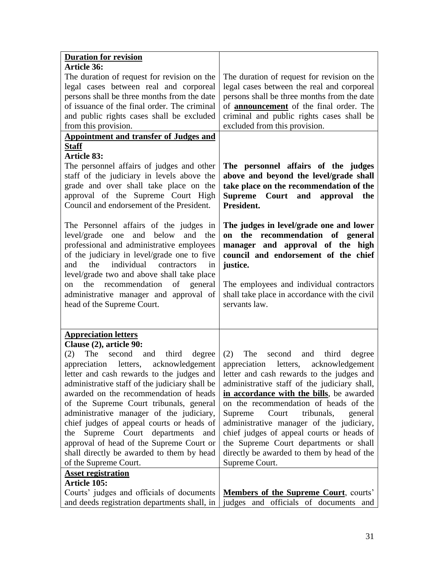| <b>Duration for revision</b>                   |                                                                                     |
|------------------------------------------------|-------------------------------------------------------------------------------------|
| Article 36:                                    |                                                                                     |
| The duration of request for revision on the    | The duration of request for revision on the                                         |
| legal cases between real and corporeal         | legal cases between the real and corporeal                                          |
| persons shall be three months from the date    | persons shall be three months from the date                                         |
| of issuance of the final order. The criminal   | of announcement of the final order. The                                             |
| and public rights cases shall be excluded      | criminal and public rights cases shall be                                           |
| from this provision.                           | excluded from this provision.                                                       |
| <b>Appointment and transfer of Judges and</b>  |                                                                                     |
| <b>Staff</b>                                   |                                                                                     |
| <b>Article 83:</b>                             |                                                                                     |
| The personnel affairs of judges and other      | The personnel affairs of the judges                                                 |
| staff of the judiciary in levels above the     | above and beyond the level/grade shall                                              |
| grade and over shall take place on the         | take place on the recommendation of the                                             |
| approval of the Supreme Court High             | Supreme Court and approval the                                                      |
| Council and endorsement of the President.      | President.                                                                          |
| The Personnel affairs of the judges in         | The judges in level/grade one and lower                                             |
| level/grade one and below and the              | on the recommendation of general                                                    |
| professional and administrative employees      | manager and approval of the high                                                    |
| of the judiciary in level/grade one to five    | council and endorsement of the chief                                                |
| the<br>individual contractors<br>and<br>in     | justice.                                                                            |
| level/grade two and above shall take place     |                                                                                     |
| recommendation<br>of general<br>the<br>on      | The employees and individual contractors                                            |
| administrative manager and approval of         | shall take place in accordance with the civil                                       |
| head of the Supreme Court.                     | servants law.                                                                       |
|                                                |                                                                                     |
| <b>Appreciation letters</b>                    |                                                                                     |
| Clause (2), article 90:                        |                                                                                     |
| $(2)$ The second<br>and third<br>degree        | $(2)$ The<br>third<br>second and<br>degree                                          |
| appreciation letters, acknowledgement          | appreciation letters, acknowledgement                                               |
|                                                | letter and cash rewards to the judges and letter and cash rewards to the judges and |
| administrative staff of the judiciary shall be | administrative staff of the judiciary shall,                                        |
| awarded on the recommendation of heads         | in accordance with the bills, be awarded                                            |
| of the Supreme Court tribunals, general        | on the recommendation of heads of the                                               |
| administrative manager of the judiciary,       | tribunals,<br>Court<br>Supreme<br>general                                           |
| chief judges of appeal courts or heads of      | administrative manager of the judiciary,                                            |
| Supreme Court departments<br>the<br>and        | chief judges of appeal courts or heads of                                           |
| approval of head of the Supreme Court or       | the Supreme Court departments or shall                                              |
| shall directly be awarded to them by head      | directly be awarded to them by head of the                                          |
| of the Supreme Court.                          | Supreme Court.                                                                      |
| <b>Asset registration</b>                      |                                                                                     |
| Article 105:                                   |                                                                                     |
| Courts' judges and officials of documents      | <b>Members of the Supreme Court, courts'</b>                                        |
| and deeds registration departments shall, in   | judges and officials of documents and                                               |